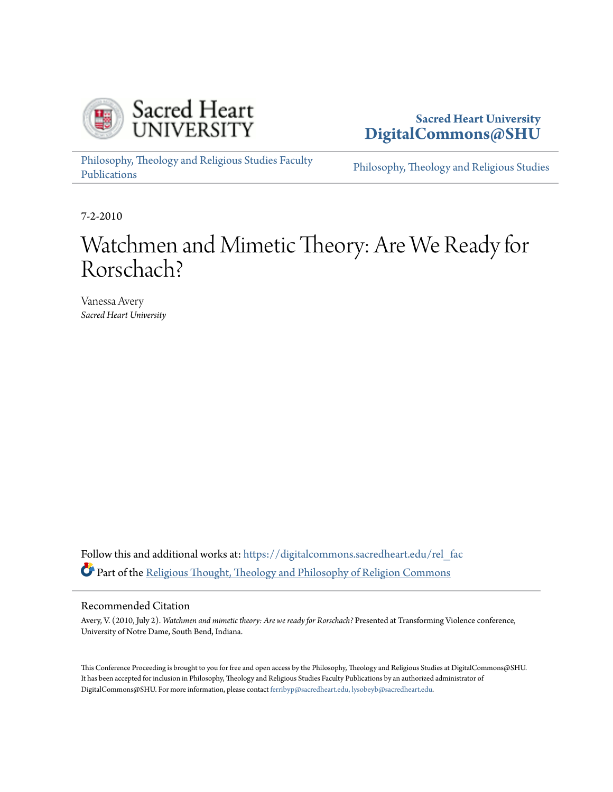

**Sacred Heart University [DigitalCommons@SHU](https://digitalcommons.sacredheart.edu?utm_source=digitalcommons.sacredheart.edu%2Frel_fac%2F161&utm_medium=PDF&utm_campaign=PDFCoverPages)**

[Philosophy, Theology and Religious Studies Faculty](https://digitalcommons.sacredheart.edu/rel_fac?utm_source=digitalcommons.sacredheart.edu%2Frel_fac%2F161&utm_medium=PDF&utm_campaign=PDFCoverPages) [Publications](https://digitalcommons.sacredheart.edu/rel_fac?utm_source=digitalcommons.sacredheart.edu%2Frel_fac%2F161&utm_medium=PDF&utm_campaign=PDFCoverPages)

[Philosophy, Theology and Religious Studies](https://digitalcommons.sacredheart.edu/rel?utm_source=digitalcommons.sacredheart.edu%2Frel_fac%2F161&utm_medium=PDF&utm_campaign=PDFCoverPages)

7-2-2010

## Watchmen and Mimetic Theory: Are We Ready for Rorschach?

Vanessa Avery *Sacred Heart University*

Follow this and additional works at: [https://digitalcommons.sacredheart.edu/rel\\_fac](https://digitalcommons.sacredheart.edu/rel_fac?utm_source=digitalcommons.sacredheart.edu%2Frel_fac%2F161&utm_medium=PDF&utm_campaign=PDFCoverPages) Part of the [Religious Thought, Theology and Philosophy of Religion Commons](http://network.bepress.com/hgg/discipline/544?utm_source=digitalcommons.sacredheart.edu%2Frel_fac%2F161&utm_medium=PDF&utm_campaign=PDFCoverPages)

## Recommended Citation

Avery, V. (2010, July 2). *Watchmen and mimetic theory: Are we ready for Rorschach?* Presented at Transforming Violence conference, University of Notre Dame, South Bend, Indiana.

This Conference Proceeding is brought to you for free and open access by the Philosophy, Theology and Religious Studies at DigitalCommons@SHU. It has been accepted for inclusion in Philosophy, Theology and Religious Studies Faculty Publications by an authorized administrator of DigitalCommons@SHU. For more information, please contact [ferribyp@sacredheart.edu, lysobeyb@sacredheart.edu.](mailto:ferribyp@sacredheart.edu,%20lysobeyb@sacredheart.edu)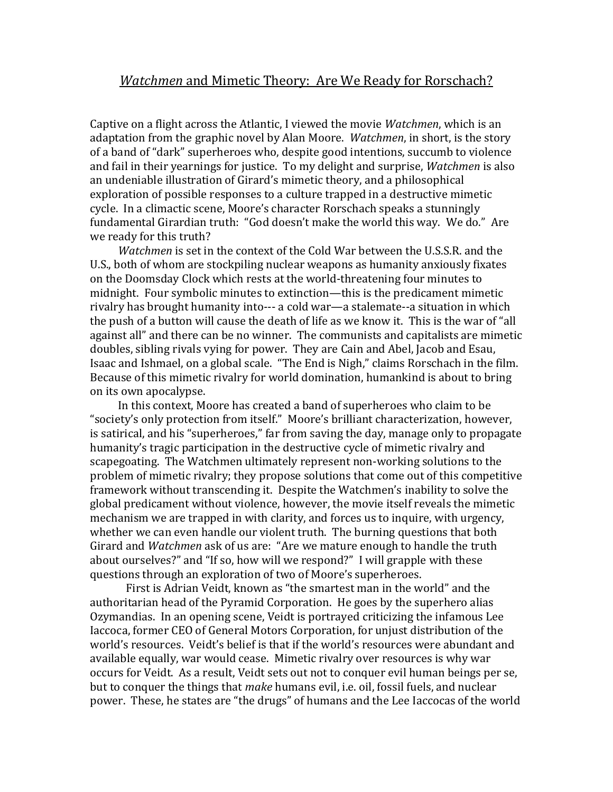## *Watchmen* and Mimetic Theory: Are We Ready for Rorschach?

Captive on a flight across the Atlantic, I viewed the movie *Watchmen*, which is an adaptation from the graphic novel by Alan Moore. *Watchmen*, in short, is the story of a band of "dark" superheroes who, despite good intentions, succumb to violence and fail in their yearnings for justice. To my delight and surprise, *Watchmen* is also an undeniable illustration of Girard's mimetic theory, and a philosophical exploration of possible responses to a culture trapped in a destructive mimetic cycle. In a climactic scene, Moore's character Rorschach speaks a stunningly fundamental Girardian truth: "God doesn't make the world this way. We do." Are we ready for this truth?

*Watchmen* is set in the context of the Cold War between the U.S.S.R. and the U.S., both of whom are stockpiling nuclear weapons as humanity anxiously fixates on the Doomsday Clock which rests at the world-threatening four minutes to midnight. Four symbolic minutes to extinction—this is the predicament mimetic rivalry has brought humanity into--- a cold war—a stalemate--a situation in which the push of a button will cause the death of life as we know it. This is the war of "all against all" and there can be no winner. The communists and capitalists are mimetic doubles, sibling rivals vying for power. They are Cain and Abel, Jacob and Esau, Isaac and Ishmael, on a global scale. "The End is Nigh," claims Rorschach in the film. Because of this mimetic rivalry for world domination, humankind is about to bring on its own apocalypse.

In this context, Moore has created a band of superheroes who claim to be "society's only protection from itself." Moore's brilliant characterization, however, is satirical, and his "superheroes," far from saving the day, manage only to propagate humanity's tragic participation in the destructive cycle of mimetic rivalry and scapegoating. The Watchmen ultimately represent non-working solutions to the problem of mimetic rivalry; they propose solutions that come out of this competitive framework without transcending it. Despite the Watchmen's inability to solve the global predicament without violence, however, the movie itself reveals the mimetic mechanism we are trapped in with clarity, and forces us to inquire, with urgency, whether we can even handle our violent truth. The burning questions that both Girard and *Watchmen* ask of us are: "Are we mature enough to handle the truth about ourselves?" and "If so, how will we respond?" I will grapple with these questions through an exploration of two of Moore's superheroes.

First is Adrian Veidt, known as "the smartest man in the world" and the authoritarian head of the Pyramid Corporation. He goes by the superhero alias Ozymandias. In an opening scene, Veidt is portrayed criticizing the infamous Lee Iaccoca, former CEO of General Motors Corporation, for unjust distribution of the world's resources. Veidt's belief is that if the world's resources were abundant and available equally, war would cease. Mimetic rivalry over resources is why war occurs for Veidt. As a result, Veidt sets out not to conquer evil human beings per se, but to conquer the things that *make* humans evil, i.e. oil, fossil fuels, and nuclear power. These, he states are "the drugs" of humans and the Lee Iaccocas of the world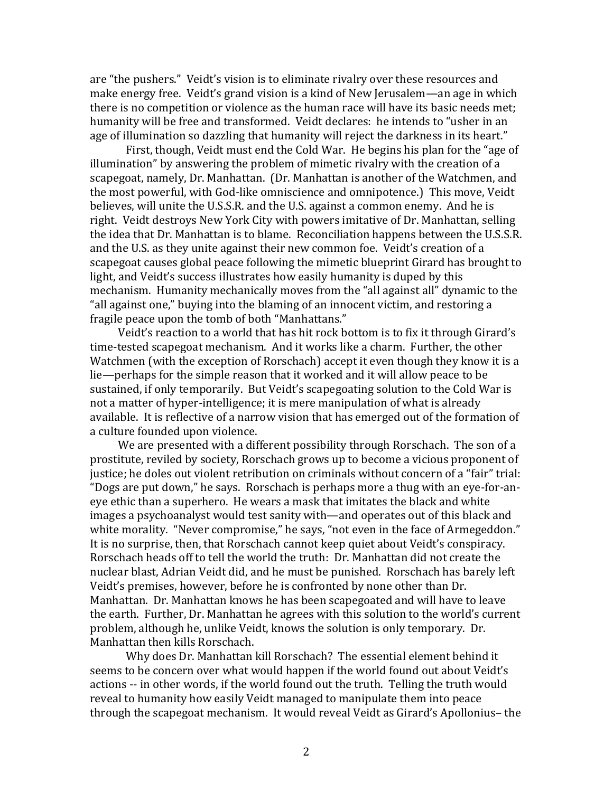are "the pushers." Veidt's vision is to eliminate rivalry over these resources and make energy free. Veidt's grand vision is a kind of New Jerusalem—an age in which there is no competition or violence as the human race will have its basic needs met; humanity will be free and transformed. Veidt declares: he intends to "usher in an age of illumination so dazzling that humanity will reject the darkness in its heart."

First, though, Veidt must end the Cold War. He begins his plan for the "age of illumination" by answering the problem of mimetic rivalry with the creation of a scapegoat, namely, Dr. Manhattan. (Dr. Manhattan is another of the Watchmen, and the most powerful, with God-like omniscience and omnipotence.) This move, Veidt believes, will unite the U.S.S.R. and the U.S. against a common enemy. And he is right. Veidt destroys New York City with powers imitative of Dr. Manhattan, selling the idea that Dr. Manhattan is to blame. Reconciliation happens between the U.S.S.R. and the U.S. as they unite against their new common foe. Veidt's creation of a scapegoat causes global peace following the mimetic blueprint Girard has brought to light, and Veidt's success illustrates how easily humanity is duped by this mechanism. Humanity mechanically moves from the "all against all" dynamic to the "all against one," buying into the blaming of an innocent victim, and restoring a fragile peace upon the tomb of both "Manhattans."

Veidt's reaction to a world that has hit rock bottom is to fix it through Girard's time-tested scapegoat mechanism. And it works like a charm. Further, the other Watchmen (with the exception of Rorschach) accept it even though they know it is a lie—perhaps for the simple reason that it worked and it will allow peace to be sustained, if only temporarily. But Veidt's scapegoating solution to the Cold War is not a matter of hyper-intelligence; it is mere manipulation of what is already available. It is reflective of a narrow vision that has emerged out of the formation of a culture founded upon violence.

We are presented with a different possibility through Rorschach. The son of a prostitute, reviled by society, Rorschach grows up to become a vicious proponent of justice; he doles out violent retribution on criminals without concern of a "fair" trial: "Dogs are put down," he says. Rorschach is perhaps more a thug with an eye-for-aneye ethic than a superhero. He wears a mask that imitates the black and white images a psychoanalyst would test sanity with—and operates out of this black and white morality. "Never compromise," he says, "not even in the face of Armegeddon." It is no surprise, then, that Rorschach cannot keep quiet about Veidt's conspiracy. Rorschach heads off to tell the world the truth: Dr. Manhattan did not create the nuclear blast, Adrian Veidt did, and he must be punished. Rorschach has barely left Veidt's premises, however, before he is confronted by none other than Dr. Manhattan. Dr. Manhattan knows he has been scapegoated and will have to leave the earth. Further, Dr. Manhattan he agrees with this solution to the world's current problem, although he, unlike Veidt, knows the solution is only temporary. Dr. Manhattan then kills Rorschach.

Why does Dr. Manhattan kill Rorschach? The essential element behind it seems to be concern over what would happen if the world found out about Veidt's actions -- in other words, if the world found out the truth. Telling the truth would reveal to humanity how easily Veidt managed to manipulate them into peace through the scapegoat mechanism. It would reveal Veidt as Girard's Apollonius– the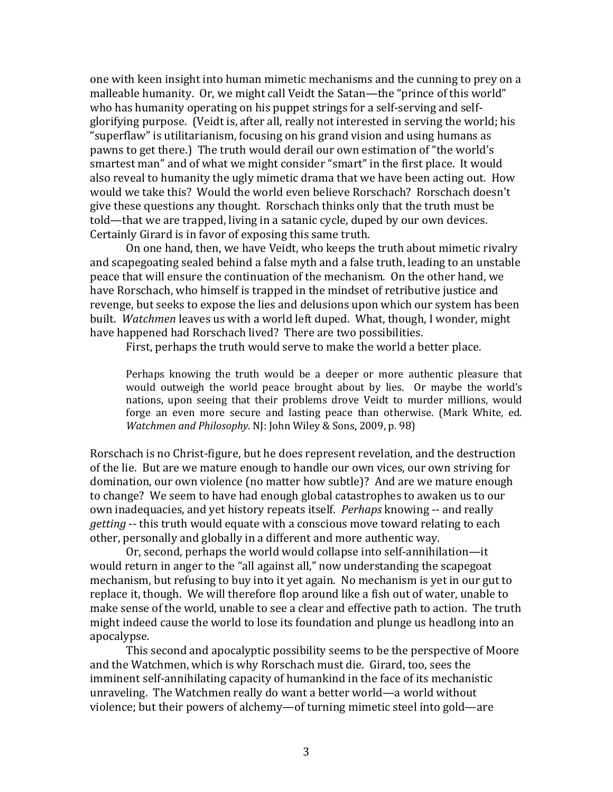one with keen insight into human mimetic mechanisms and the cunning to prey on a malleable humanity. Or, we might call Veidt the Satan—the "prince of this world" who has humanity operating on his puppet strings for a self-serving and selfglorifying purpose. (Veidt is, after all, really not interested in serving the world; his "superflaw" is utilitarianism, focusing on his grand vision and using humans as pawns to get there.) The truth would derail our own estimation of "the world's smartest man" and of what we might consider "smart" in the first place. It would also reveal to humanity the ugly mimetic drama that we have been acting out. How would we take this? Would the world even believe Rorschach? Rorschach doesn't give these questions any thought. Rorschach thinks only that the truth must be told—that we are trapped, living in a satanic cycle, duped by our own devices. Certainly Girard is in favor of exposing this same truth.

On one hand, then, we have Veidt, who keeps the truth about mimetic rivalry and scapegoating sealed behind a false myth and a false truth, leading to an unstable peace that will ensure the continuation of the mechanism. On the other hand, we have Rorschach, who himself is trapped in the mindset of retributive justice and revenge, but seeks to expose the lies and delusions upon which our system has been built. *Watchmen* leaves us with a world left duped. What, though, I wonder, might have happened had Rorschach lived? There are two possibilities.

First, perhaps the truth would serve to make the world a better place.

Perhaps knowing the truth would be a deeper or more authentic pleasure that would outweigh the world peace brought about by lies. Or maybe the world's nations, upon seeing that their problems drove Veidt to murder millions, would forge an even more secure and lasting peace than otherwise. (Mark White, ed. *Watchmen and Philosophy*. NJ: John Wiley & Sons, 2009, p. 98)

Rorschach is no Christ-figure, but he does represent revelation, and the destruction of the lie. But are we mature enough to handle our own vices, our own striving for domination, our own violence (no matter how subtle)? And are we mature enough to change? We seem to have had enough global catastrophes to awaken us to our own inadequacies, and yet history repeats itself. *Perhaps* knowing -- and really *getting* -- this truth would equate with a conscious move toward relating to each other, personally and globally in a different and more authentic way.

Or, second, perhaps the world would collapse into self-annihilation—it would return in anger to the "all against all," now understanding the scapegoat mechanism, but refusing to buy into it yet again. No mechanism is yet in our gut to replace it, though. We will therefore flop around like a fish out of water, unable to make sense of the world, unable to see a clear and effective path to action. The truth might indeed cause the world to lose its foundation and plunge us headlong into an apocalypse.

This second and apocalyptic possibility seems to be the perspective of Moore and the Watchmen, which is why Rorschach must die. Girard, too, sees the imminent self-annihilating capacity of humankind in the face of its mechanistic unraveling. The Watchmen really do want a better world—a world without violence; but their powers of alchemy—of turning mimetic steel into gold—are